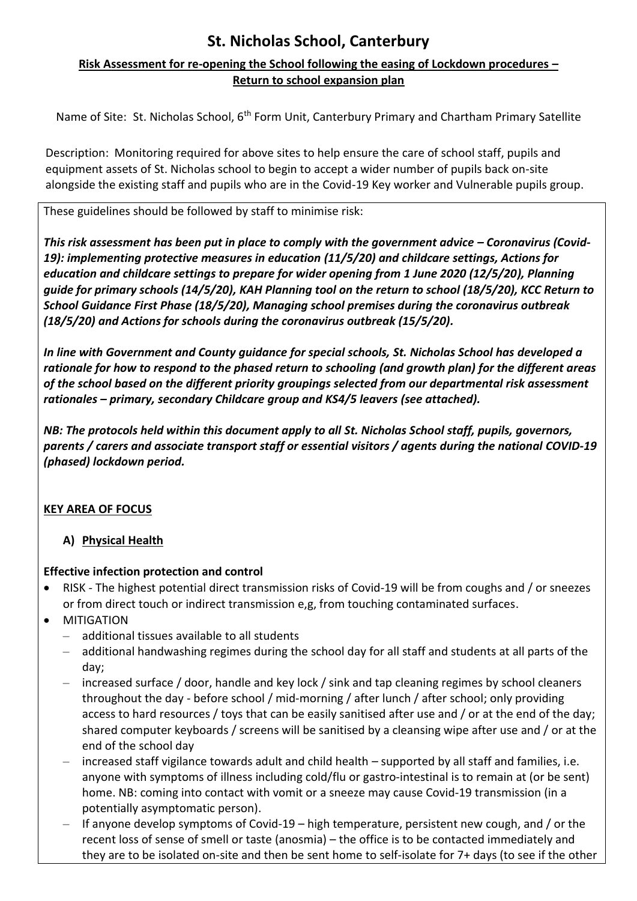#### **Risk Assessment for re-opening the School following the easing of Lockdown procedures – Return to school expansion plan**

Name of Site: St. Nicholas School, 6<sup>th</sup> Form Unit, Canterbury Primary and Chartham Primary Satellite

Description: Monitoring required for above sites to help ensure the care of school staff, pupils and equipment assets of St. Nicholas school to begin to accept a wider number of pupils back on-site alongside the existing staff and pupils who are in the Covid-19 Key worker and Vulnerable pupils group.

These guidelines should be followed by staff to minimise risk:

*This risk assessment has been put in place to comply with the government advice – Coronavirus (Covid-19): implementing protective measures in education (11/5/20) and childcare settings, Actions for education and childcare settings to prepare for wider opening from 1 June 2020 (12/5/20), Planning guide for primary schools (14/5/20), KAH Planning tool on the return to school (18/5/20), KCC Return to School Guidance First Phase (18/5/20), Managing school premises during the coronavirus outbreak (18/5/20) and Actions for schools during the coronavirus outbreak (15/5/20).*

*In line with Government and County guidance for special schools, St. Nicholas School has developed a rationale for how to respond to the phased return to schooling (and growth plan) for the different areas of the school based on the different priority groupings selected from our departmental risk assessment rationales – primary, secondary Childcare group and KS4/5 leavers (see attached).*

*NB: The protocols held within this document apply to all St. Nicholas School staff, pupils, governors, parents / carers and associate transport staff or essential visitors / agents during the national COVID-19 (phased) lockdown period.*

### **KEY AREA OF FOCUS**

**A) Physical Health**

#### **Effective infection protection and control**

- RISK The highest potential direct transmission risks of Covid-19 will be from coughs and / or sneezes or from direct touch or indirect transmission e,g, from touching contaminated surfaces.
- **•** MITIGATION
	- additional tissues available to all students
	- additional handwashing regimes during the school day for all staff and students at all parts of the day;
	- increased surface / door, handle and key lock / sink and tap cleaning regimes by school cleaners throughout the day - before school / mid-morning / after lunch / after school; only providing access to hard resources / toys that can be easily sanitised after use and / or at the end of the day; shared computer keyboards / screens will be sanitised by a cleansing wipe after use and / or at the end of the school day
	- increased staff vigilance towards adult and child health supported by all staff and families, i.e. anyone with symptoms of illness including cold/flu or gastro-intestinal is to remain at (or be sent) home. NB: coming into contact with vomit or a sneeze may cause Covid-19 transmission (in a potentially asymptomatic person).
	- If anyone develop symptoms of Covid-19 high temperature, persistent new cough, and / or the recent loss of sense of smell or taste (anosmia) – the office is to be contacted immediately and they are to be isolated on-site and then be sent home to self-isolate for 7+ days (to see if the other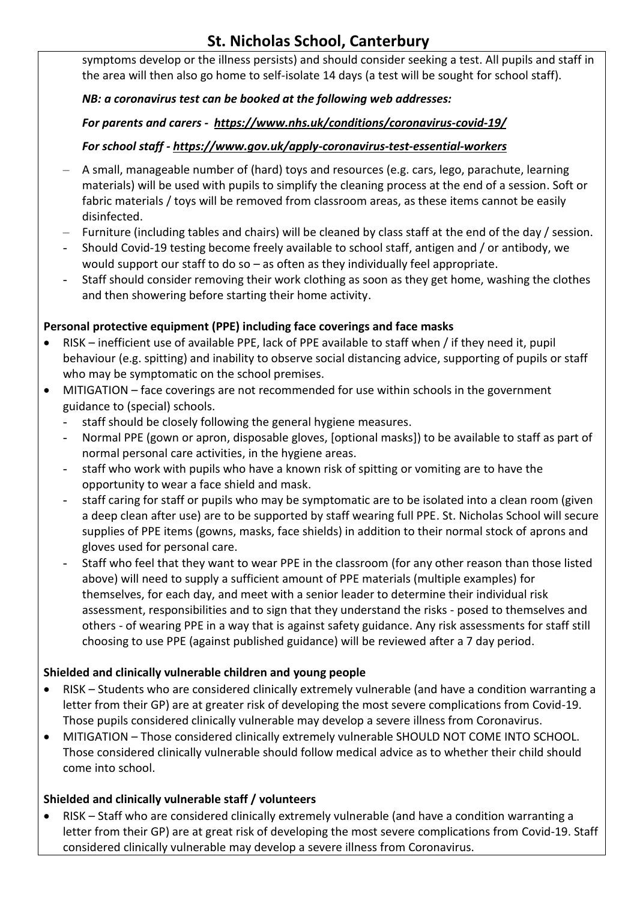symptoms develop or the illness persists) and should consider seeking a test. All pupils and staff in the area will then also go home to self-isolate 14 days (a test will be sought for school staff).

#### *NB: a coronavirus test can be booked at the following web addresses:*

#### *For parents and carers - <https://www.nhs.uk/conditions/coronavirus-covid-19/>*

#### *For school staff - <https://www.gov.uk/apply-coronavirus-test-essential-workers>*

- A small, manageable number of (hard) toys and resources (e.g. cars, lego, parachute, learning materials) will be used with pupils to simplify the cleaning process at the end of a session. Soft or fabric materials / toys will be removed from classroom areas, as these items cannot be easily disinfected.
- Furniture (including tables and chairs) will be cleaned by class staff at the end of the day / session.
- Should Covid-19 testing become freely available to school staff, antigen and / or antibody, we would support our staff to do so – as often as they individually feel appropriate.
- Staff should consider removing their work clothing as soon as they get home, washing the clothes and then showering before starting their home activity.

#### **Personal protective equipment (PPE) including face coverings and face masks**

- RISK inefficient use of available PPE, lack of PPE available to staff when / if they need it, pupil behaviour (e.g. spitting) and inability to observe social distancing advice, supporting of pupils or staff who may be symptomatic on the school premises.
- MITIGATION face coverings are not recommended for use within schools in the government guidance to (special) schools.
	- staff should be closely following the general hygiene measures.
	- Normal PPE (gown or apron, disposable gloves, [optional masks]) to be available to staff as part of normal personal care activities, in the hygiene areas.
	- staff who work with pupils who have a known risk of spitting or vomiting are to have the opportunity to wear a face shield and mask.
	- staff caring for staff or pupils who may be symptomatic are to be isolated into a clean room (given a deep clean after use) are to be supported by staff wearing full PPE. St. Nicholas School will secure supplies of PPE items (gowns, masks, face shields) in addition to their normal stock of aprons and gloves used for personal care.
	- Staff who feel that they want to wear PPE in the classroom (for any other reason than those listed above) will need to supply a sufficient amount of PPE materials (multiple examples) for themselves, for each day, and meet with a senior leader to determine their individual risk assessment, responsibilities and to sign that they understand the risks - posed to themselves and others - of wearing PPE in a way that is against safety guidance. Any risk assessments for staff still choosing to use PPE (against published guidance) will be reviewed after a 7 day period.

#### **Shielded and clinically vulnerable children and young people**

- RISK Students who are considered clinically extremely vulnerable (and have a condition warranting a letter from their GP) are at greater risk of developing the most severe complications from Covid-19. Those pupils considered clinically vulnerable may develop a severe illness from Coronavirus.
- MITIGATION Those considered clinically extremely vulnerable SHOULD NOT COME INTO SCHOOL. Those considered clinically vulnerable should follow medical advice as to whether their child should come into school.

### **Shielded and clinically vulnerable staff / volunteers**

 RISK – Staff who are considered clinically extremely vulnerable (and have a condition warranting a letter from their GP) are at great risk of developing the most severe complications from Covid-19. Staff considered clinically vulnerable may develop a severe illness from Coronavirus.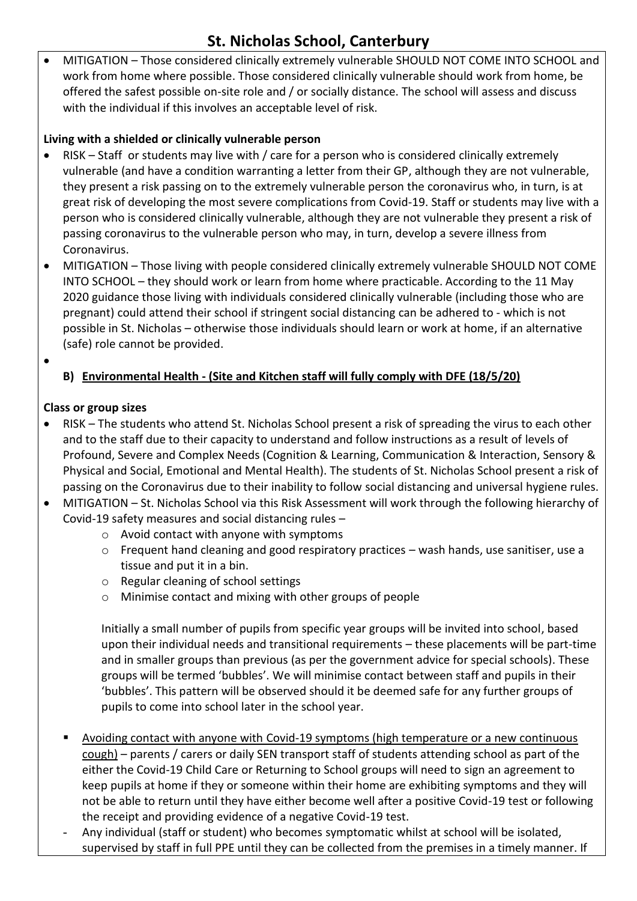MITIGATION – Those considered clinically extremely vulnerable SHOULD NOT COME INTO SCHOOL and work from home where possible. Those considered clinically vulnerable should work from home, be offered the safest possible on-site role and / or socially distance. The school will assess and discuss with the individual if this involves an acceptable level of risk.

#### **Living with a shielded or clinically vulnerable person**

- RISK Staff or students may live with / care for a person who is considered clinically extremely vulnerable (and have a condition warranting a letter from their GP, although they are not vulnerable, they present a risk passing on to the extremely vulnerable person the coronavirus who, in turn, is at great risk of developing the most severe complications from Covid-19. Staff or students may live with a person who is considered clinically vulnerable, although they are not vulnerable they present a risk of passing coronavirus to the vulnerable person who may, in turn, develop a severe illness from Coronavirus.
- MITIGATION Those living with people considered clinically extremely vulnerable SHOULD NOT COME INTO SCHOOL – they should work or learn from home where practicable. According to the 11 May 2020 guidance those living with individuals considered clinically vulnerable (including those who are pregnant) could attend their school if stringent social distancing can be adhered to - which is not possible in St. Nicholas – otherwise those individuals should learn or work at home, if an alternative (safe) role cannot be provided.
- $\bullet$

#### **B) Environmental Health - (Site and Kitchen staff will fully comply with DFE (18/5/20)**

#### **Class or group sizes**

- RISK The students who attend St. Nicholas School present a risk of spreading the virus to each other and to the staff due to their capacity to understand and follow instructions as a result of levels of Profound, Severe and Complex Needs (Cognition & Learning, Communication & Interaction, Sensory & Physical and Social, Emotional and Mental Health). The students of St. Nicholas School present a risk of passing on the Coronavirus due to their inability to follow social distancing and universal hygiene rules.
- MITIGATION St. Nicholas School via this Risk Assessment will work through the following hierarchy of Covid-19 safety measures and social distancing rules –
	- o Avoid contact with anyone with symptoms
	- $\circ$  Frequent hand cleaning and good respiratory practices wash hands, use sanitiser, use a tissue and put it in a bin.
	- o Regular cleaning of school settings
	- o Minimise contact and mixing with other groups of people

Initially a small number of pupils from specific year groups will be invited into school, based upon their individual needs and transitional requirements – these placements will be part-time and in smaller groups than previous (as per the government advice for special schools). These groups will be termed 'bubbles'. We will minimise contact between staff and pupils in their 'bubbles'. This pattern will be observed should it be deemed safe for any further groups of pupils to come into school later in the school year.

- Avoiding contact with anyone with Covid-19 symptoms (high temperature or a new continuous cough) – parents / carers or daily SEN transport staff of students attending school as part of the either the Covid-19 Child Care or Returning to School groups will need to sign an agreement to keep pupils at home if they or someone within their home are exhibiting symptoms and they will not be able to return until they have either become well after a positive Covid-19 test or following the receipt and providing evidence of a negative Covid-19 test.
- Any individual (staff or student) who becomes symptomatic whilst at school will be isolated, supervised by staff in full PPE until they can be collected from the premises in a timely manner. If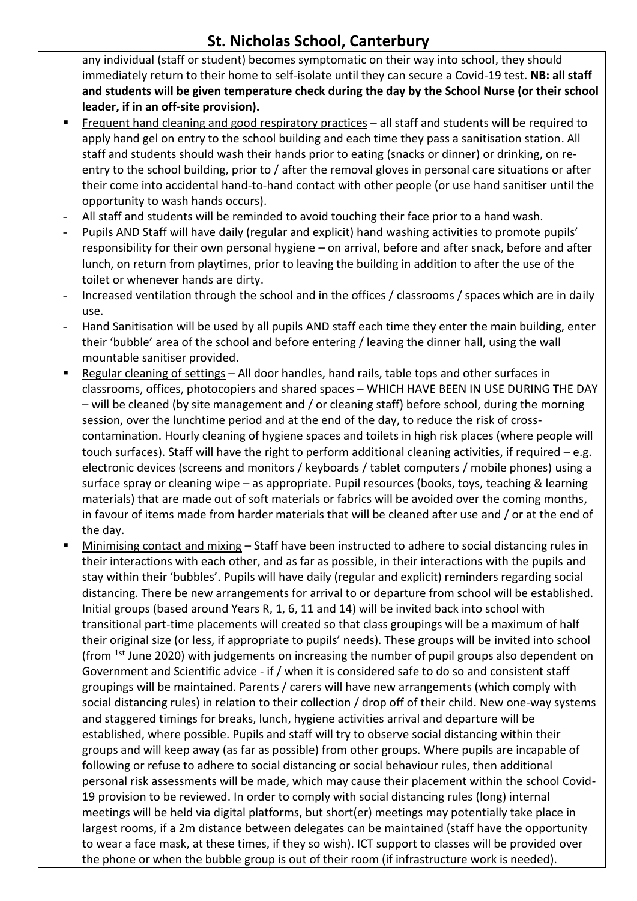any individual (staff or student) becomes symptomatic on their way into school, they should immediately return to their home to self-isolate until they can secure a Covid-19 test. **NB: all staff and students will be given temperature check during the day by the School Nurse (or their school leader, if in an off-site provision).**

- Frequent hand cleaning and good respiratory practices all staff and students will be required to apply hand gel on entry to the school building and each time they pass a sanitisation station. All staff and students should wash their hands prior to eating (snacks or dinner) or drinking, on reentry to the school building, prior to / after the removal gloves in personal care situations or after their come into accidental hand-to-hand contact with other people (or use hand sanitiser until the opportunity to wash hands occurs).
- All staff and students will be reminded to avoid touching their face prior to a hand wash.
- Pupils AND Staff will have daily (regular and explicit) hand washing activities to promote pupils' responsibility for their own personal hygiene – on arrival, before and after snack, before and after lunch, on return from playtimes, prior to leaving the building in addition to after the use of the toilet or whenever hands are dirty.
- Increased ventilation through the school and in the offices / classrooms / spaces which are in daily use.
- Hand Sanitisation will be used by all pupils AND staff each time they enter the main building, enter their 'bubble' area of the school and before entering / leaving the dinner hall, using the wall mountable sanitiser provided.
- **Regular cleaning of settings All door handles, hand rails, table tops and other surfaces in** classrooms, offices, photocopiers and shared spaces – WHICH HAVE BEEN IN USE DURING THE DAY – will be cleaned (by site management and / or cleaning staff) before school, during the morning session, over the lunchtime period and at the end of the day, to reduce the risk of crosscontamination. Hourly cleaning of hygiene spaces and toilets in high risk places (where people will touch surfaces). Staff will have the right to perform additional cleaning activities, if required – e.g. electronic devices (screens and monitors / keyboards / tablet computers / mobile phones) using a surface spray or cleaning wipe – as appropriate. Pupil resources (books, toys, teaching & learning materials) that are made out of soft materials or fabrics will be avoided over the coming months, in favour of items made from harder materials that will be cleaned after use and / or at the end of the day.
- Minimising contact and mixing Staff have been instructed to adhere to social distancing rules in their interactions with each other, and as far as possible, in their interactions with the pupils and stay within their 'bubbles'. Pupils will have daily (regular and explicit) reminders regarding social distancing. There be new arrangements for arrival to or departure from school will be established. Initial groups (based around Years R, 1, 6, 11 and 14) will be invited back into school with transitional part-time placements will created so that class groupings will be a maximum of half their original size (or less, if appropriate to pupils' needs). These groups will be invited into school (from 1st June 2020) with judgements on increasing the number of pupil groups also dependent on Government and Scientific advice - if / when it is considered safe to do so and consistent staff groupings will be maintained. Parents / carers will have new arrangements (which comply with social distancing rules) in relation to their collection / drop off of their child. New one-way systems and staggered timings for breaks, lunch, hygiene activities arrival and departure will be established, where possible. Pupils and staff will try to observe social distancing within their groups and will keep away (as far as possible) from other groups. Where pupils are incapable of following or refuse to adhere to social distancing or social behaviour rules, then additional personal risk assessments will be made, which may cause their placement within the school Covid-19 provision to be reviewed. In order to comply with social distancing rules (long) internal meetings will be held via digital platforms, but short(er) meetings may potentially take place in largest rooms, if a 2m distance between delegates can be maintained (staff have the opportunity to wear a face mask, at these times, if they so wish). ICT support to classes will be provided over the phone or when the bubble group is out of their room (if infrastructure work is needed).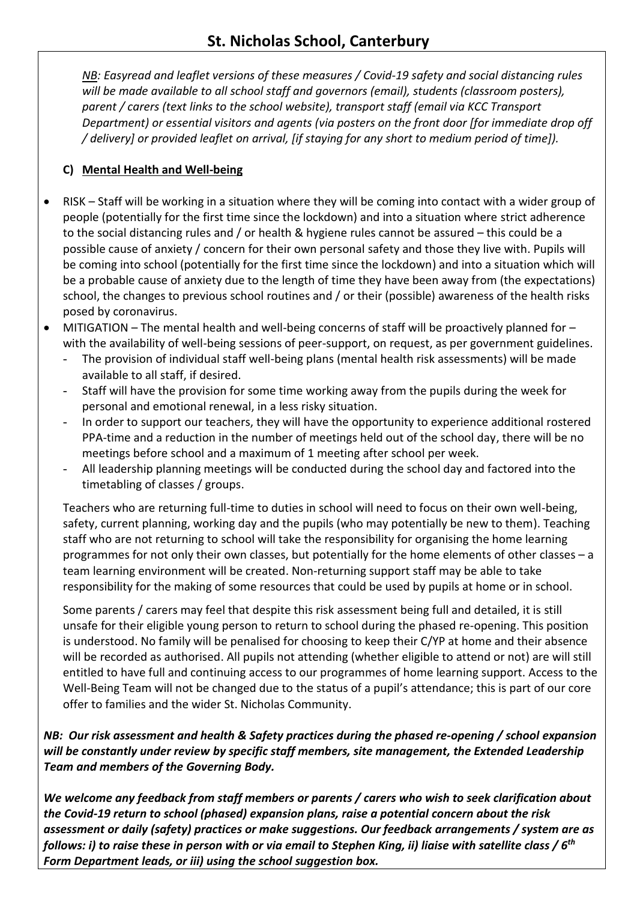*NB: Easyread and leaflet versions of these measures / Covid-19 safety and social distancing rules will be made available to all school staff and governors (email), students (classroom posters), parent / carers (text links to the school website), transport staff (email via KCC Transport Department) or essential visitors and agents (via posters on the front door [for immediate drop off / delivery] or provided leaflet on arrival, [if staying for any short to medium period of time]).*

#### **C) Mental Health and Well-being**

- RISK Staff will be working in a situation where they will be coming into contact with a wider group of people (potentially for the first time since the lockdown) and into a situation where strict adherence to the social distancing rules and / or health & hygiene rules cannot be assured – this could be a possible cause of anxiety / concern for their own personal safety and those they live with. Pupils will be coming into school (potentially for the first time since the lockdown) and into a situation which will be a probable cause of anxiety due to the length of time they have been away from (the expectations) school, the changes to previous school routines and / or their (possible) awareness of the health risks posed by coronavirus.
- $\bullet$  MITIGATION The mental health and well-being concerns of staff will be proactively planned for with the availability of well-being sessions of peer-support, on request, as per government guidelines.
	- The provision of individual staff well-being plans (mental health risk assessments) will be made available to all staff, if desired.
	- Staff will have the provision for some time working away from the pupils during the week for personal and emotional renewal, in a less risky situation.
	- In order to support our teachers, they will have the opportunity to experience additional rostered PPA-time and a reduction in the number of meetings held out of the school day, there will be no meetings before school and a maximum of 1 meeting after school per week.
	- All leadership planning meetings will be conducted during the school day and factored into the timetabling of classes / groups.

Teachers who are returning full-time to duties in school will need to focus on their own well-being, safety, current planning, working day and the pupils (who may potentially be new to them). Teaching staff who are not returning to school will take the responsibility for organising the home learning programmes for not only their own classes, but potentially for the home elements of other classes – a team learning environment will be created. Non-returning support staff may be able to take responsibility for the making of some resources that could be used by pupils at home or in school.

Some parents / carers may feel that despite this risk assessment being full and detailed, it is still unsafe for their eligible young person to return to school during the phased re-opening. This position is understood. No family will be penalised for choosing to keep their C/YP at home and their absence will be recorded as authorised. All pupils not attending (whether eligible to attend or not) are will still entitled to have full and continuing access to our programmes of home learning support. Access to the Well-Being Team will not be changed due to the status of a pupil's attendance; this is part of our core offer to families and the wider St. Nicholas Community.

#### *NB: Our risk assessment and health & Safety practices during the phased re-opening / school expansion will be constantly under review by specific staff members, site management, the Extended Leadership Team and members of the Governing Body.*

*We welcome any feedback from staff members or parents / carers who wish to seek clarification about the Covid-19 return to school (phased) expansion plans, raise a potential concern about the risk assessment or daily (safety) practices or make suggestions. Our feedback arrangements / system are as follows: i) to raise these in person with or via email to Stephen King, ii) liaise with satellite class / 6 th Form Department leads, or iii) using the school suggestion box.*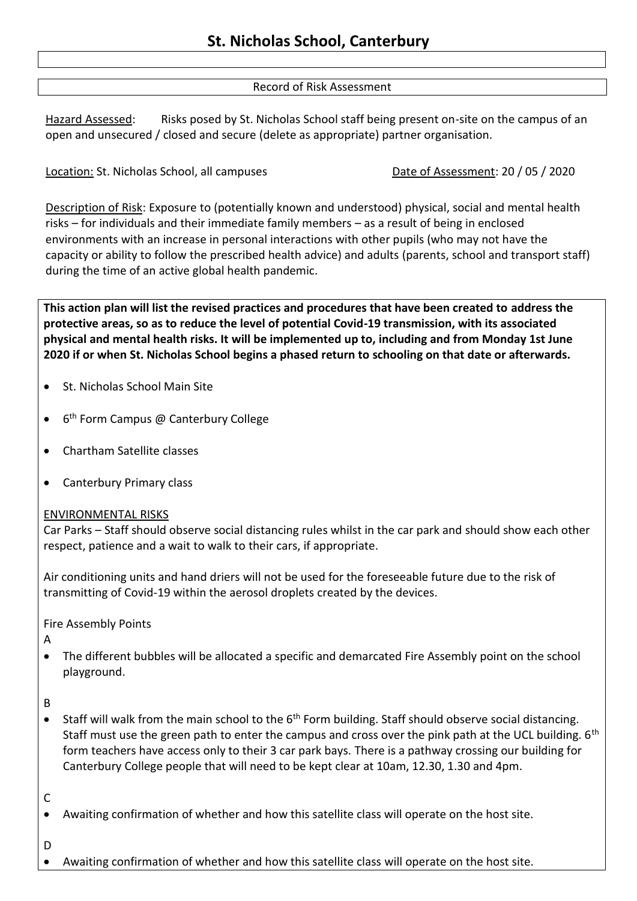#### Record of Risk Assessment

Hazard Assessed: Risks posed by St. Nicholas School staff being present on-site on the campus of an open and unsecured / closed and secure (delete as appropriate) partner organisation.

Location: St. Nicholas School, all campuses Date of Assessment: 20 / 05 / 2020

Description of Risk: Exposure to (potentially known and understood) physical, social and mental health risks – for individuals and their immediate family members – as a result of being in enclosed environments with an increase in personal interactions with other pupils (who may not have the capacity or ability to follow the prescribed health advice) and adults (parents, school and transport staff) during the time of an active global health pandemic.

**This action plan will list the revised practices and procedures that have been created to address the protective areas, so as to reduce the level of potential Covid-19 transmission, with its associated physical and mental health risks. It will be implemented up to, including and from Monday 1st June 2020 if or when St. Nicholas School begins a phased return to schooling on that date or afterwards.**

- St. Nicholas School Main Site
- 6<sup>th</sup> Form Campus @ Canterbury College
- Chartham Satellite classes
- Canterbury Primary class

#### ENVIRONMENTAL RISKS

Car Parks – Staff should observe social distancing rules whilst in the car park and should show each other respect, patience and a wait to walk to their cars, if appropriate.

Air conditioning units and hand driers will not be used for the foreseeable future due to the risk of transmitting of Covid-19 within the aerosol droplets created by the devices.

Fire Assembly Points

A

 The different bubbles will be allocated a specific and demarcated Fire Assembly point on the school playground.

B

• Staff will walk from the main school to the 6<sup>th</sup> Form building. Staff should observe social distancing. Staff must use the green path to enter the campus and cross over the pink path at the UCL building. 6<sup>th</sup> form teachers have access only to their 3 car park bays. There is a pathway crossing our building for Canterbury College people that will need to be kept clear at 10am, 12.30, 1.30 and 4pm.

C

Awaiting confirmation of whether and how this satellite class will operate on the host site.

D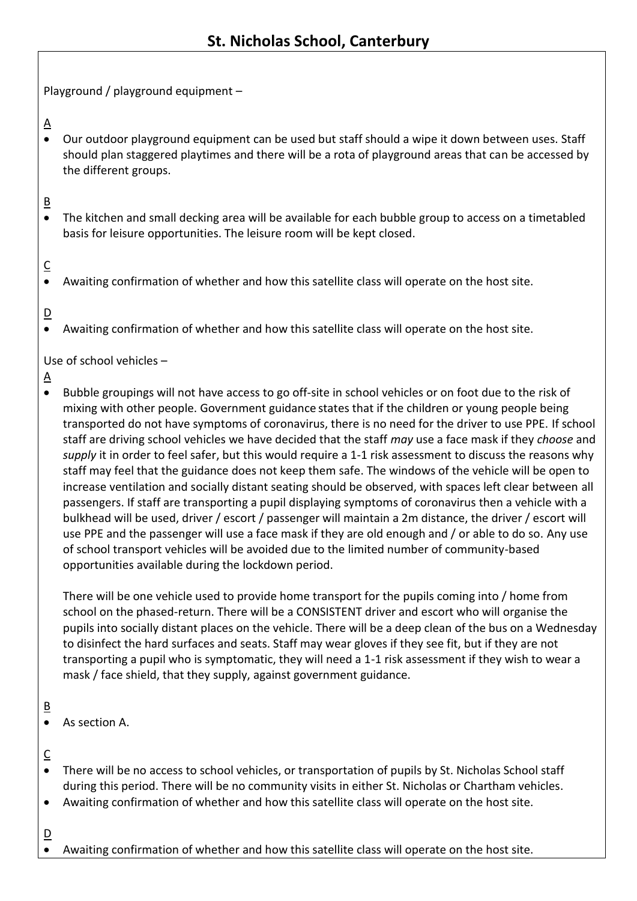Playground / playground equipment –

 $\Delta$ 

 Our outdoor playground equipment can be used but staff should a wipe it down between uses. Staff should plan staggered playtimes and there will be a rota of playground areas that can be accessed by the different groups.

## B

 The kitchen and small decking area will be available for each bubble group to access on a timetabled basis for leisure opportunities. The leisure room will be kept closed.

# $\overline{C}$

Awaiting confirmation of whether and how this satellite class will operate on the host site.

## D

Awaiting confirmation of whether and how this satellite class will operate on the host site.

Use of school vehicles –

- $\Delta$
- Bubble groupings will not have access to go off-site in school vehicles or on foot due to the risk of mixing with other people. Government guidance states that if the children or young people being transported do not have symptoms of coronavirus, there is no need for the driver to use PPE. If school staff are driving school vehicles we have decided that the staff *may* use a face mask if they *choose* and *supply* it in order to feel safer, but this would require a 1-1 risk assessment to discuss the reasons why staff may feel that the guidance does not keep them safe. The windows of the vehicle will be open to increase ventilation and socially distant seating should be observed, with spaces left clear between all passengers. If staff are transporting a pupil displaying symptoms of coronavirus then a vehicle with a bulkhead will be used, driver / escort / passenger will maintain a 2m distance, the driver / escort will use PPE and the passenger will use a face mask if they are old enough and / or able to do so. Any use of school transport vehicles will be avoided due to the limited number of community-based opportunities available during the lockdown period.

There will be one vehicle used to provide home transport for the pupils coming into / home from school on the phased-return. There will be a CONSISTENT driver and escort who will organise the pupils into socially distant places on the vehicle. There will be a deep clean of the bus on a Wednesday to disinfect the hard surfaces and seats. Staff may wear gloves if they see fit, but if they are not transporting a pupil who is symptomatic, they will need a 1-1 risk assessment if they wish to wear a mask / face shield, that they supply, against government guidance.

## B

- As section A.
- $\overline{\mathsf{C}}$
- There will be no access to school vehicles, or transportation of pupils by St. Nicholas School staff during this period. There will be no community visits in either St. Nicholas or Chartham vehicles.
- Awaiting confirmation of whether and how this satellite class will operate on the host site.
- $\overline{\mathsf{D}}$ 
	- Awaiting confirmation of whether and how this satellite class will operate on the host site.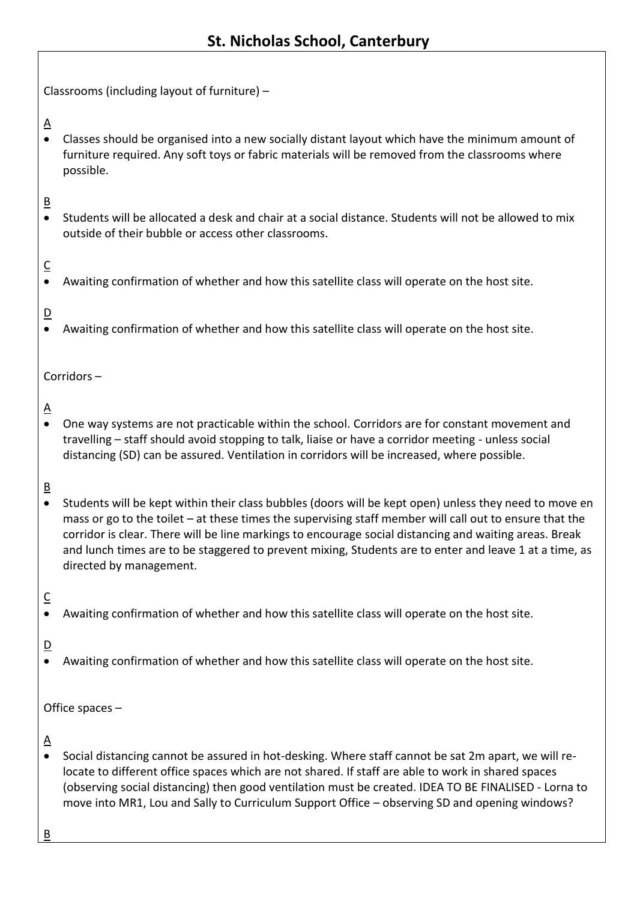Classrooms (including layout of furniture) –

 $\Delta$ 

 Classes should be organised into a new socially distant layout which have the minimum amount of furniture required. Any soft toys or fabric materials will be removed from the classrooms where possible.

## B

 Students will be allocated a desk and chair at a social distance. Students will not be allowed to mix outside of their bubble or access other classrooms.

## $\overline{C}$

Awaiting confirmation of whether and how this satellite class will operate on the host site.

## D

Awaiting confirmation of whether and how this satellite class will operate on the host site.

Corridors –

## $\Delta$

 One way systems are not practicable within the school. Corridors are for constant movement and travelling – staff should avoid stopping to talk, liaise or have a corridor meeting - unless social distancing (SD) can be assured. Ventilation in corridors will be increased, where possible.

## B

 Students will be kept within their class bubbles (doors will be kept open) unless they need to move en mass or go to the toilet – at these times the supervising staff member will call out to ensure that the corridor is clear. There will be line markings to encourage social distancing and waiting areas. Break and lunch times are to be staggered to prevent mixing, Students are to enter and leave 1 at a time, as directed by management.

### $\overline{\mathsf{C}}$

Awaiting confirmation of whether and how this satellite class will operate on the host site.

### $\overline{D}$

Awaiting confirmation of whether and how this satellite class will operate on the host site.

Office spaces –

#### $\triangle$

 Social distancing cannot be assured in hot-desking. Where staff cannot be sat 2m apart, we will relocate to different office spaces which are not shared. If staff are able to work in shared spaces (observing social distancing) then good ventilation must be created. IDEA TO BE FINALISED - Lorna to move into MR1, Lou and Sally to Curriculum Support Office – observing SD and opening windows?

B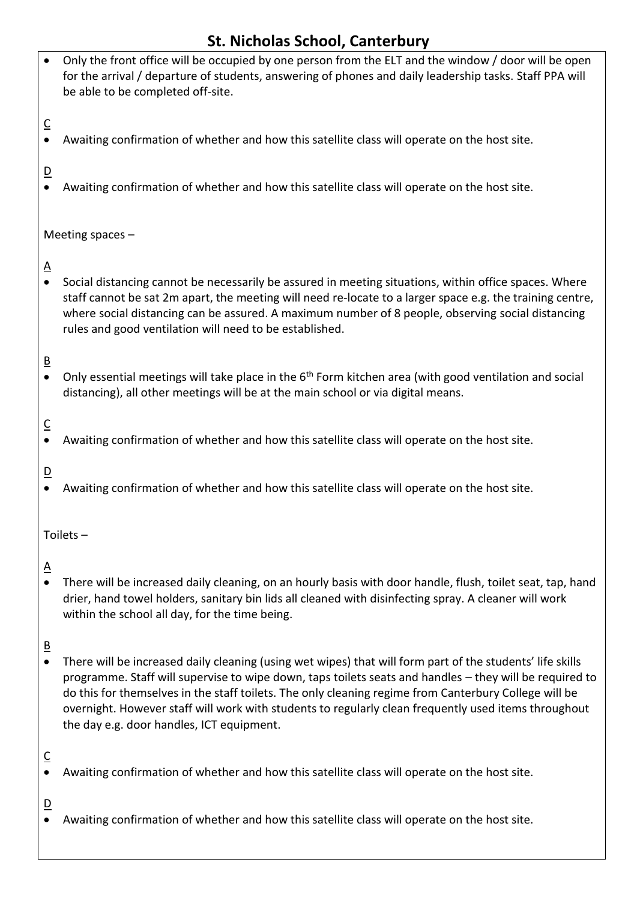| $\bullet$                             | Only the front office will be occupied by one person from the ELT and the window / door will be open<br>for the arrival / departure of students, answering of phones and daily leadership tasks. Staff PPA will<br>be able to be completed off-site.                                                                                                                                                                                                                               |  |  |  |
|---------------------------------------|------------------------------------------------------------------------------------------------------------------------------------------------------------------------------------------------------------------------------------------------------------------------------------------------------------------------------------------------------------------------------------------------------------------------------------------------------------------------------------|--|--|--|
| $\overline{C}$<br>$\bullet$           | Awaiting confirmation of whether and how this satellite class will operate on the host site.                                                                                                                                                                                                                                                                                                                                                                                       |  |  |  |
| $\overline{D}$<br>$\bullet$           | Awaiting confirmation of whether and how this satellite class will operate on the host site.                                                                                                                                                                                                                                                                                                                                                                                       |  |  |  |
|                                       | Meeting spaces $-$                                                                                                                                                                                                                                                                                                                                                                                                                                                                 |  |  |  |
| $\overline{\mathsf{A}}$<br>$\bullet$  | Social distancing cannot be necessarily be assured in meeting situations, within office spaces. Where<br>staff cannot be sat 2m apart, the meeting will need re-locate to a larger space e.g. the training centre,<br>where social distancing can be assured. A maximum number of 8 people, observing social distancing<br>rules and good ventilation will need to be established.                                                                                                 |  |  |  |
| $\underline{\mathsf{B}}$<br>$\bullet$ | Only essential meetings will take place in the 6 <sup>th</sup> Form kitchen area (with good ventilation and social<br>distancing), all other meetings will be at the main school or via digital means.                                                                                                                                                                                                                                                                             |  |  |  |
| $\overline{C}$<br>$\bullet$           | Awaiting confirmation of whether and how this satellite class will operate on the host site.                                                                                                                                                                                                                                                                                                                                                                                       |  |  |  |
| $\overline{D}$<br>$\bullet$           | Awaiting confirmation of whether and how this satellite class will operate on the host site.                                                                                                                                                                                                                                                                                                                                                                                       |  |  |  |
| Toilets –                             |                                                                                                                                                                                                                                                                                                                                                                                                                                                                                    |  |  |  |
| <u>A</u><br>$\bullet$                 | There will be increased daily cleaning, on an hourly basis with door handle, flush, toilet seat, tap, hand<br>drier, hand towel holders, sanitary bin lids all cleaned with disinfecting spray. A cleaner will work<br>within the school all day, for the time being.                                                                                                                                                                                                              |  |  |  |
| $\overline{B}$<br>$\bullet$           | There will be increased daily cleaning (using wet wipes) that will form part of the students' life skills<br>programme. Staff will supervise to wipe down, taps toilets seats and handles - they will be required to<br>do this for themselves in the staff toilets. The only cleaning regime from Canterbury College will be<br>overnight. However staff will work with students to regularly clean frequently used items throughout<br>the day e.g. door handles, ICT equipment. |  |  |  |
| $\overline{C}$<br>$\bullet$           | Awaiting confirmation of whether and how this satellite class will operate on the host site.                                                                                                                                                                                                                                                                                                                                                                                       |  |  |  |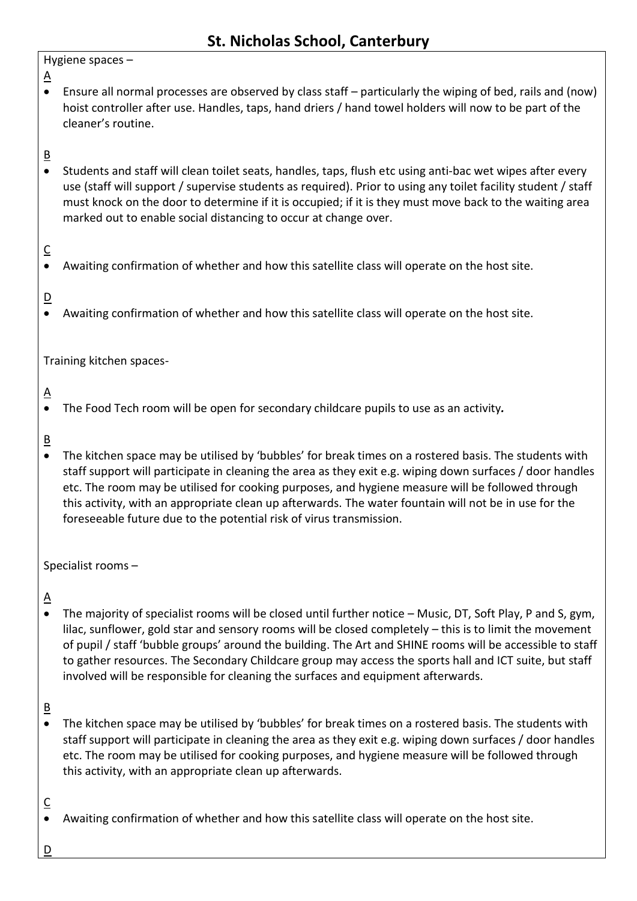#### Hygiene spaces –

- $\underline{A}$
- Ensure all normal processes are observed by class staff particularly the wiping of bed, rails and (now) hoist controller after use. Handles, taps, hand driers / hand towel holders will now to be part of the cleaner's routine.

### $\overline{B}$

 Students and staff will clean toilet seats, handles, taps, flush etc using anti-bac wet wipes after every use (staff will support / supervise students as required). Prior to using any toilet facility student / staff must knock on the door to determine if it is occupied; if it is they must move back to the waiting area marked out to enable social distancing to occur at change over.

#### C

Awaiting confirmation of whether and how this satellite class will operate on the host site.

### $\overline{D}$

Awaiting confirmation of whether and how this satellite class will operate on the host site.

Training kitchen spaces-

## $\Delta$

- The Food Tech room will be open for secondary childcare pupils to use as an activity*.*
- $\overline{B}$
- The kitchen space may be utilised by 'bubbles' for break times on a rostered basis. The students with staff support will participate in cleaning the area as they exit e.g. wiping down surfaces / door handles etc. The room may be utilised for cooking purposes, and hygiene measure will be followed through this activity, with an appropriate clean up afterwards. The water fountain will not be in use for the foreseeable future due to the potential risk of virus transmission.

Specialist rooms –

# $\Delta$

 The majority of specialist rooms will be closed until further notice – Music, DT, Soft Play, P and S, gym, lilac, sunflower, gold star and sensory rooms will be closed completely – this is to limit the movement of pupil / staff 'bubble groups' around the building. The Art and SHINE rooms will be accessible to staff to gather resources. The Secondary Childcare group may access the sports hall and ICT suite, but staff involved will be responsible for cleaning the surfaces and equipment afterwards.

### B

 The kitchen space may be utilised by 'bubbles' for break times on a rostered basis. The students with staff support will participate in cleaning the area as they exit e.g. wiping down surfaces / door handles etc. The room may be utilised for cooking purposes, and hygiene measure will be followed through this activity, with an appropriate clean up afterwards.

### C

Awaiting confirmation of whether and how this satellite class will operate on the host site.

 $\underline{\mathsf{D}}$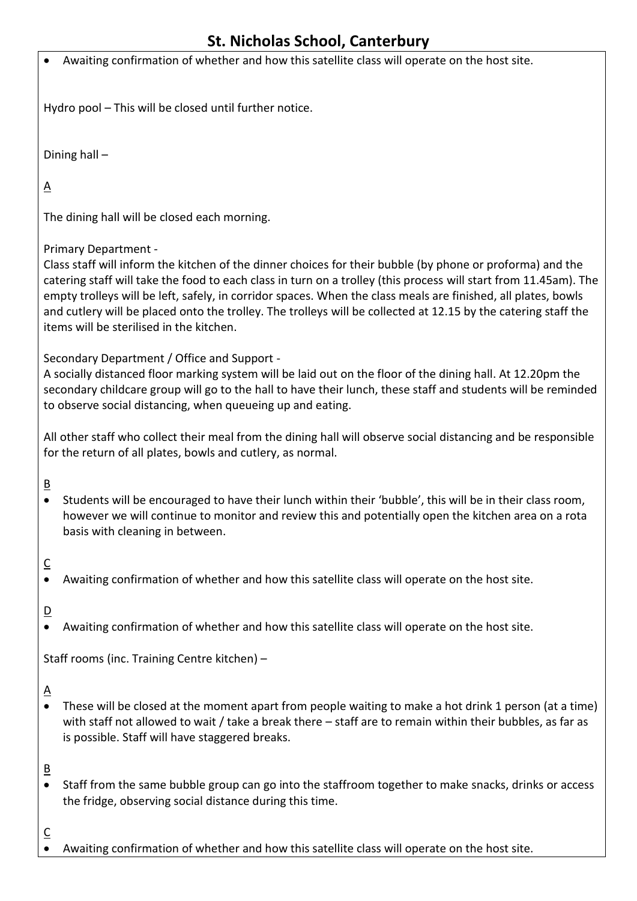|                                                                                                                                                                              | St. Nicholas School, Canterbury                                                                                                                                                                                                                                                                                                                                                                                                                                                                                                      |  |  |  |  |
|------------------------------------------------------------------------------------------------------------------------------------------------------------------------------|--------------------------------------------------------------------------------------------------------------------------------------------------------------------------------------------------------------------------------------------------------------------------------------------------------------------------------------------------------------------------------------------------------------------------------------------------------------------------------------------------------------------------------------|--|--|--|--|
|                                                                                                                                                                              | Awaiting confirmation of whether and how this satellite class will operate on the host site.                                                                                                                                                                                                                                                                                                                                                                                                                                         |  |  |  |  |
|                                                                                                                                                                              | Hydro pool - This will be closed until further notice.                                                                                                                                                                                                                                                                                                                                                                                                                                                                               |  |  |  |  |
|                                                                                                                                                                              | Dining hall-                                                                                                                                                                                                                                                                                                                                                                                                                                                                                                                         |  |  |  |  |
| <u>A</u>                                                                                                                                                                     |                                                                                                                                                                                                                                                                                                                                                                                                                                                                                                                                      |  |  |  |  |
|                                                                                                                                                                              | The dining hall will be closed each morning.                                                                                                                                                                                                                                                                                                                                                                                                                                                                                         |  |  |  |  |
|                                                                                                                                                                              | Primary Department -<br>Class staff will inform the kitchen of the dinner choices for their bubble (by phone or proforma) and the<br>catering staff will take the food to each class in turn on a trolley (this process will start from 11.45am). The<br>empty trolleys will be left, safely, in corridor spaces. When the class meals are finished, all plates, bowls<br>and cutlery will be placed onto the trolley. The trolleys will be collected at 12.15 by the catering staff the<br>items will be sterilised in the kitchen. |  |  |  |  |
|                                                                                                                                                                              | Secondary Department / Office and Support -<br>A socially distanced floor marking system will be laid out on the floor of the dining hall. At 12.20pm the<br>secondary childcare group will go to the hall to have their lunch, these staff and students will be reminded<br>to observe social distancing, when queueing up and eating.                                                                                                                                                                                              |  |  |  |  |
| All other staff who collect their meal from the dining hall will observe social distancing and be responsible<br>for the return of all plates, bowls and cutlery, as normal. |                                                                                                                                                                                                                                                                                                                                                                                                                                                                                                                                      |  |  |  |  |
| <u>B</u><br>$\bullet$                                                                                                                                                        | Students will be encouraged to have their lunch within their 'bubble', this will be in their class room,<br>however we will continue to monitor and review this and potentially open the kitchen area on a rota<br>basis with cleaning in between.                                                                                                                                                                                                                                                                                   |  |  |  |  |
| $\overline{\mathsf{C}}$<br>$\bullet$                                                                                                                                         | Awaiting confirmation of whether and how this satellite class will operate on the host site.                                                                                                                                                                                                                                                                                                                                                                                                                                         |  |  |  |  |
| $\overline{\mathsf{D}}$<br>$\bullet$                                                                                                                                         | Awaiting confirmation of whether and how this satellite class will operate on the host site.                                                                                                                                                                                                                                                                                                                                                                                                                                         |  |  |  |  |
|                                                                                                                                                                              | Staff rooms (inc. Training Centre kitchen) -                                                                                                                                                                                                                                                                                                                                                                                                                                                                                         |  |  |  |  |
| <u>ል</u><br>$\bullet$                                                                                                                                                        | These will be closed at the moment apart from people waiting to make a hot drink 1 person (at a time)<br>with staff not allowed to wait / take a break there - staff are to remain within their bubbles, as far as<br>is possible. Staff will have staggered breaks.                                                                                                                                                                                                                                                                 |  |  |  |  |
| <u>B</u><br>$\bullet$                                                                                                                                                        | Staff from the same bubble group can go into the staffroom together to make snacks, drinks or access<br>the fridge, observing social distance during this time.                                                                                                                                                                                                                                                                                                                                                                      |  |  |  |  |

Awaiting confirmation of whether and how this satellite class will operate on the host site.

 $rac{C}{\bullet}$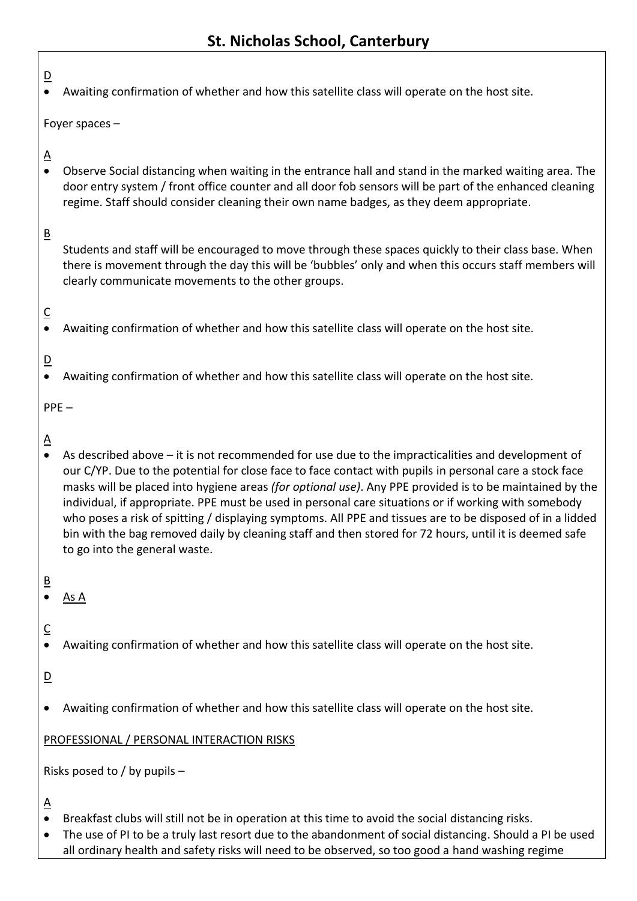| $\overline{D}$<br>$\bullet$               | Awaiting confirmation of whether and how this satellite class will operate on the host site.                                                                                                                                                                                                                                                                                                                                                                                                                                                                                                                                                                                              |  |  |  |  |
|-------------------------------------------|-------------------------------------------------------------------------------------------------------------------------------------------------------------------------------------------------------------------------------------------------------------------------------------------------------------------------------------------------------------------------------------------------------------------------------------------------------------------------------------------------------------------------------------------------------------------------------------------------------------------------------------------------------------------------------------------|--|--|--|--|
|                                           | Foyer spaces $-$                                                                                                                                                                                                                                                                                                                                                                                                                                                                                                                                                                                                                                                                          |  |  |  |  |
| $\underline{A}$<br>$\bullet$              | Observe Social distancing when waiting in the entrance hall and stand in the marked waiting area. The<br>door entry system / front office counter and all door fob sensors will be part of the enhanced cleaning<br>regime. Staff should consider cleaning their own name badges, as they deem appropriate.                                                                                                                                                                                                                                                                                                                                                                               |  |  |  |  |
| $\underline{\mathsf{B}}$                  | Students and staff will be encouraged to move through these spaces quickly to their class base. When<br>there is movement through the day this will be 'bubbles' only and when this occurs staff members will<br>clearly communicate movements to the other groups.                                                                                                                                                                                                                                                                                                                                                                                                                       |  |  |  |  |
| $\overline{\mathsf{C}}$<br>$\bullet$      | Awaiting confirmation of whether and how this satellite class will operate on the host site.                                                                                                                                                                                                                                                                                                                                                                                                                                                                                                                                                                                              |  |  |  |  |
| $\overline{D}$<br>$\bullet$               | Awaiting confirmation of whether and how this satellite class will operate on the host site.                                                                                                                                                                                                                                                                                                                                                                                                                                                                                                                                                                                              |  |  |  |  |
| $PPE -$                                   |                                                                                                                                                                                                                                                                                                                                                                                                                                                                                                                                                                                                                                                                                           |  |  |  |  |
| $\overline{\mathsf{A}}$<br>$\bullet$      | As described above $-$ it is not recommended for use due to the impracticalities and development of<br>our C/YP. Due to the potential for close face to face contact with pupils in personal care a stock face<br>masks will be placed into hygiene areas (for optional use). Any PPE provided is to be maintained by the<br>individual, if appropriate. PPE must be used in personal care situations or if working with somebody<br>who poses a risk of spitting / displaying symptoms. All PPE and tissues are to be disposed of in a lidded<br>bin with the bag removed daily by cleaning staff and then stored for 72 hours, until it is deemed safe<br>to go into the general waste. |  |  |  |  |
| $\overline{B}$                            | <u>As A</u>                                                                                                                                                                                                                                                                                                                                                                                                                                                                                                                                                                                                                                                                               |  |  |  |  |
| $\overline{\mathsf{C}}$                   | Awaiting confirmation of whether and how this satellite class will operate on the host site.                                                                                                                                                                                                                                                                                                                                                                                                                                                                                                                                                                                              |  |  |  |  |
| $\overline{\mathsf{D}}$                   |                                                                                                                                                                                                                                                                                                                                                                                                                                                                                                                                                                                                                                                                                           |  |  |  |  |
| ٠                                         | Awaiting confirmation of whether and how this satellite class will operate on the host site.                                                                                                                                                                                                                                                                                                                                                                                                                                                                                                                                                                                              |  |  |  |  |
| PROFESSIONAL / PERSONAL INTERACTION RISKS |                                                                                                                                                                                                                                                                                                                                                                                                                                                                                                                                                                                                                                                                                           |  |  |  |  |
| Risks posed to / by pupils -              |                                                                                                                                                                                                                                                                                                                                                                                                                                                                                                                                                                                                                                                                                           |  |  |  |  |
| <u>A</u>                                  |                                                                                                                                                                                                                                                                                                                                                                                                                                                                                                                                                                                                                                                                                           |  |  |  |  |

- Breakfast clubs will still not be in operation at this time to avoid the social distancing risks.
- The use of PI to be a truly last resort due to the abandonment of social distancing. Should a PI be used all ordinary health and safety risks will need to be observed, so too good a hand washing regime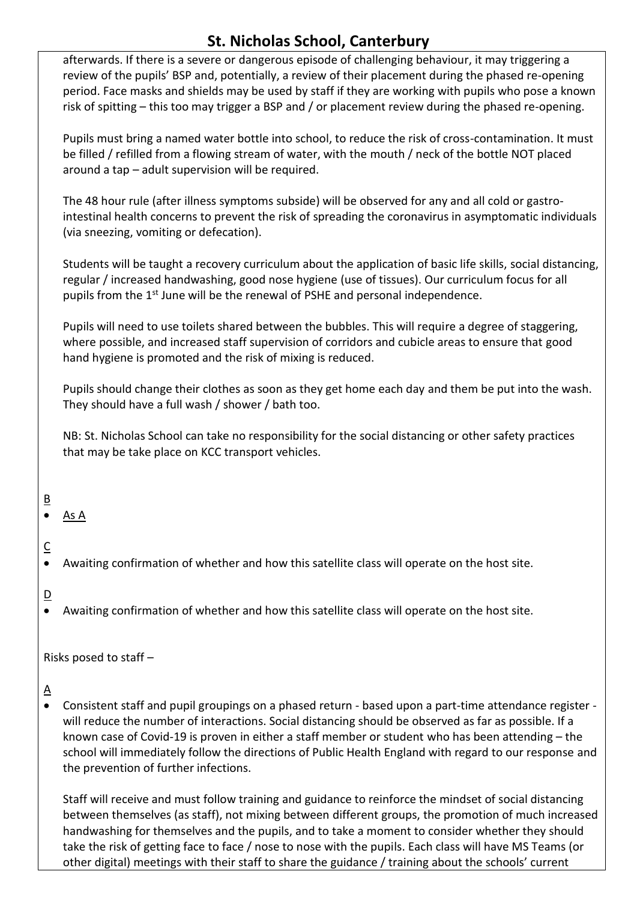afterwards. If there is a severe or dangerous episode of challenging behaviour, it may triggering a review of the pupils' BSP and, potentially, a review of their placement during the phased re-opening period. Face masks and shields may be used by staff if they are working with pupils who pose a known risk of spitting – this too may trigger a BSP and / or placement review during the phased re-opening.

Pupils must bring a named water bottle into school, to reduce the risk of cross-contamination. It must be filled / refilled from a flowing stream of water, with the mouth / neck of the bottle NOT placed around a tap – adult supervision will be required.

The 48 hour rule (after illness symptoms subside) will be observed for any and all cold or gastrointestinal health concerns to prevent the risk of spreading the coronavirus in asymptomatic individuals (via sneezing, vomiting or defecation).

Students will be taught a recovery curriculum about the application of basic life skills, social distancing, regular / increased handwashing, good nose hygiene (use of tissues). Our curriculum focus for all pupils from the 1<sup>st</sup> June will be the renewal of PSHE and personal independence.

Pupils will need to use toilets shared between the bubbles. This will require a degree of staggering, where possible, and increased staff supervision of corridors and cubicle areas to ensure that good hand hygiene is promoted and the risk of mixing is reduced.

Pupils should change their clothes as soon as they get home each day and them be put into the wash. They should have a full wash / shower / bath too.

NB: St. Nicholas School can take no responsibility for the social distancing or other safety practices that may be take place on KCC transport vehicles.

## B

As A

# C

Awaiting confirmation of whether and how this satellite class will operate on the host site.

### $\overline{D}$

Awaiting confirmation of whether and how this satellite class will operate on the host site.

Risks posed to staff –

## $\Delta$

 Consistent staff and pupil groupings on a phased return - based upon a part-time attendance register will reduce the number of interactions. Social distancing should be observed as far as possible. If a known case of Covid-19 is proven in either a staff member or student who has been attending – the school will immediately follow the directions of Public Health England with regard to our response and the prevention of further infections.

Staff will receive and must follow training and guidance to reinforce the mindset of social distancing between themselves (as staff), not mixing between different groups, the promotion of much increased handwashing for themselves and the pupils, and to take a moment to consider whether they should take the risk of getting face to face / nose to nose with the pupils. Each class will have MS Teams (or other digital) meetings with their staff to share the guidance / training about the schools' current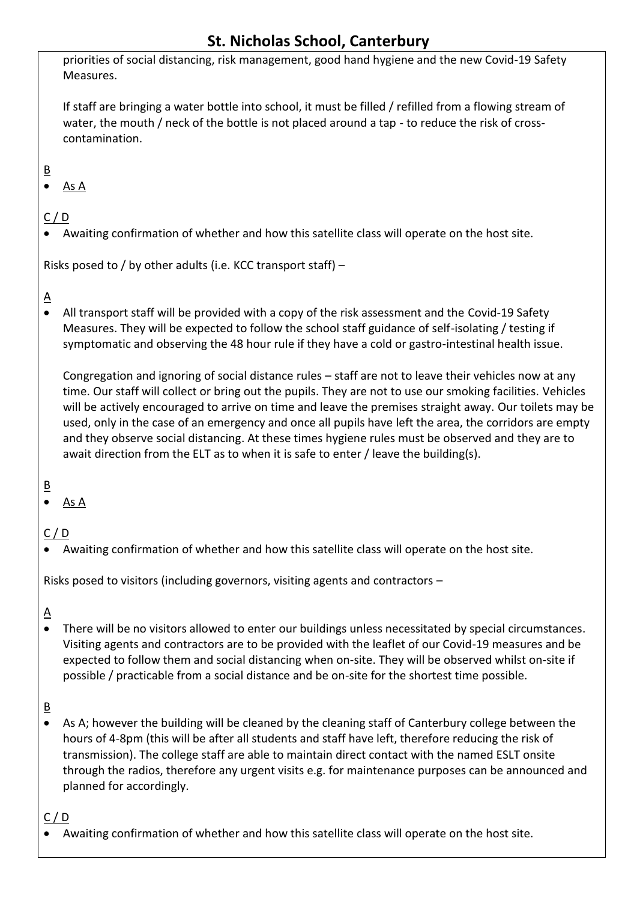priorities of social distancing, risk management, good hand hygiene and the new Covid-19 Safety Measures.

If staff are bringing a water bottle into school, it must be filled / refilled from a flowing stream of water, the mouth / neck of the bottle is not placed around a tap - to reduce the risk of crosscontamination.

## $\overline{B}$

As A

## $C / D$

Awaiting confirmation of whether and how this satellite class will operate on the host site.

Risks posed to / by other adults (i.e. KCC transport staff) –

## $\underline{\mathsf{A}}$

 All transport staff will be provided with a copy of the risk assessment and the Covid-19 Safety Measures. They will be expected to follow the school staff guidance of self-isolating / testing if symptomatic and observing the 48 hour rule if they have a cold or gastro-intestinal health issue.

Congregation and ignoring of social distance rules – staff are not to leave their vehicles now at any time. Our staff will collect or bring out the pupils. They are not to use our smoking facilities. Vehicles will be actively encouraged to arrive on time and leave the premises straight away. Our toilets may be used, only in the case of an emergency and once all pupils have left the area, the corridors are empty and they observe social distancing. At these times hygiene rules must be observed and they are to await direction from the ELT as to when it is safe to enter / leave the building(s).

### B

As A

### C / D

Awaiting confirmation of whether and how this satellite class will operate on the host site.

Risks posed to visitors (including governors, visiting agents and contractors –

## $\underline{A}$

 There will be no visitors allowed to enter our buildings unless necessitated by special circumstances. Visiting agents and contractors are to be provided with the leaflet of our Covid-19 measures and be expected to follow them and social distancing when on-site. They will be observed whilst on-site if possible / practicable from a social distance and be on-site for the shortest time possible.

## B

 As A; however the building will be cleaned by the cleaning staff of Canterbury college between the hours of 4-8pm (this will be after all students and staff have left, therefore reducing the risk of transmission). The college staff are able to maintain direct contact with the named ESLT onsite through the radios, therefore any urgent visits e.g. for maintenance purposes can be announced and planned for accordingly.

### C / D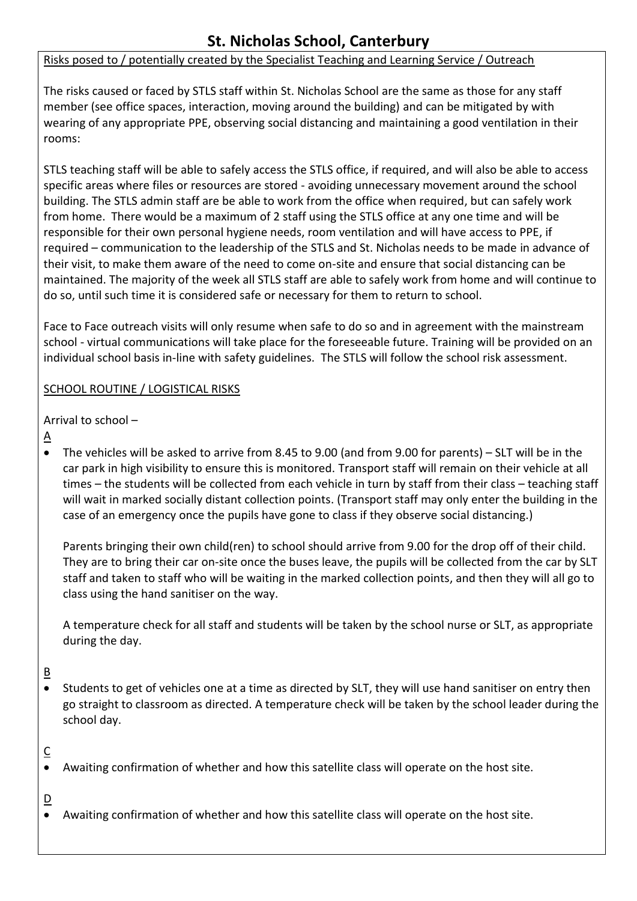#### Risks posed to / potentially created by the Specialist Teaching and Learning Service / Outreach

The risks caused or faced by STLS staff within St. Nicholas School are the same as those for any staff member (see office spaces, interaction, moving around the building) and can be mitigated by with wearing of any appropriate PPE, observing social distancing and maintaining a good ventilation in their rooms:

STLS teaching staff will be able to safely access the STLS office, if required, and will also be able to access specific areas where files or resources are stored - avoiding unnecessary movement around the school building. The STLS admin staff are be able to work from the office when required, but can safely work from home. There would be a maximum of 2 staff using the STLS office at any one time and will be responsible for their own personal hygiene needs, room ventilation and will have access to PPE, if required – communication to the leadership of the STLS and St. Nicholas needs to be made in advance of their visit, to make them aware of the need to come on-site and ensure that social distancing can be maintained. The majority of the week all STLS staff are able to safely work from home and will continue to do so, until such time it is considered safe or necessary for them to return to school.

Face to Face outreach visits will only resume when safe to do so and in agreement with the mainstream school - virtual communications will take place for the foreseeable future. Training will be provided on an individual school basis in-line with safety guidelines. The STLS will follow the school risk assessment.

#### SCHOOL ROUTINE / LOGISTICAL RISKS

Arrival to school –

- $\Delta$
- The vehicles will be asked to arrive from 8.45 to 9.00 (and from 9.00 for parents) SLT will be in the car park in high visibility to ensure this is monitored. Transport staff will remain on their vehicle at all times – the students will be collected from each vehicle in turn by staff from their class – teaching staff will wait in marked socially distant collection points. (Transport staff may only enter the building in the case of an emergency once the pupils have gone to class if they observe social distancing.)

Parents bringing their own child(ren) to school should arrive from 9.00 for the drop off of their child. They are to bring their car on-site once the buses leave, the pupils will be collected from the car by SLT staff and taken to staff who will be waiting in the marked collection points, and then they will all go to class using the hand sanitiser on the way.

A temperature check for all staff and students will be taken by the school nurse or SLT, as appropriate during the day.

### B

• Students to get of vehicles one at a time as directed by SLT, they will use hand sanitiser on entry then go straight to classroom as directed. A temperature check will be taken by the school leader during the school day.

### $\overline{C}$

Awaiting confirmation of whether and how this satellite class will operate on the host site.

 $\overline{D}$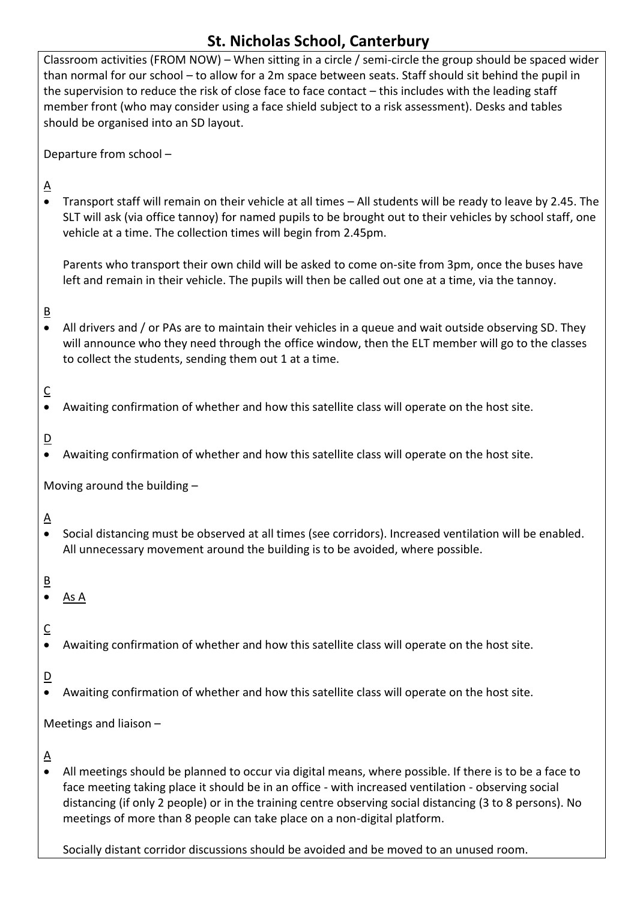Classroom activities (FROM NOW) – When sitting in a circle / semi-circle the group should be spaced wider than normal for our school – to allow for a 2m space between seats. Staff should sit behind the pupil in the supervision to reduce the risk of close face to face contact – this includes with the leading staff member front (who may consider using a face shield subject to a risk assessment). Desks and tables should be organised into an SD layout.

Departure from school –

## $\Delta$

 Transport staff will remain on their vehicle at all times – All students will be ready to leave by 2.45. The SLT will ask (via office tannoy) for named pupils to be brought out to their vehicles by school staff, one vehicle at a time. The collection times will begin from 2.45pm.

Parents who transport their own child will be asked to come on-site from 3pm, once the buses have left and remain in their vehicle. The pupils will then be called out one at a time, via the tannoy.

#### B

 All drivers and / or PAs are to maintain their vehicles in a queue and wait outside observing SD. They will announce who they need through the office window, then the ELT member will go to the classes to collect the students, sending them out 1 at a time.

## $\overline{\mathsf{C}}$

Awaiting confirmation of whether and how this satellite class will operate on the host site.

### $D$

Awaiting confirmation of whether and how this satellite class will operate on the host site.

Moving around the building –

## $\Delta$

 Social distancing must be observed at all times (see corridors). Increased ventilation will be enabled. All unnecessary movement around the building is to be avoided, where possible.

### $\overline{B}$

- $\bullet$  As A
- C
- Awaiting confirmation of whether and how this satellite class will operate on the host site.
- $\overline{D}$
- Awaiting confirmation of whether and how this satellite class will operate on the host site.

Meetings and liaison –

### $\underline{A}$

 All meetings should be planned to occur via digital means, where possible. If there is to be a face to face meeting taking place it should be in an office - with increased ventilation - observing social distancing (if only 2 people) or in the training centre observing social distancing (3 to 8 persons). No meetings of more than 8 people can take place on a non-digital platform.

Socially distant corridor discussions should be avoided and be moved to an unused room.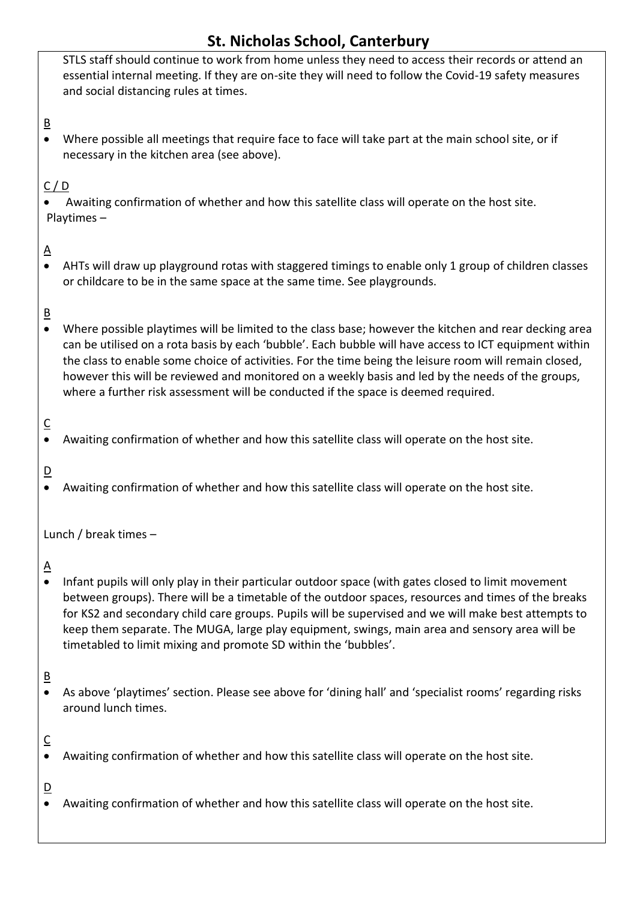STLS staff should continue to work from home unless they need to access their records or attend an essential internal meeting. If they are on-site they will need to follow the Covid-19 safety measures and social distancing rules at times.

B

 Where possible all meetings that require face to face will take part at the main school site, or if necessary in the kitchen area (see above).

### $C / D$

 Awaiting confirmation of whether and how this satellite class will operate on the host site. Playtimes –

## $\overline{\mathsf{A}}$

 AHTs will draw up playground rotas with staggered timings to enable only 1 group of children classes or childcare to be in the same space at the same time. See playgrounds.

### B

 Where possible playtimes will be limited to the class base; however the kitchen and rear decking area can be utilised on a rota basis by each 'bubble'. Each bubble will have access to ICT equipment within the class to enable some choice of activities. For the time being the leisure room will remain closed, however this will be reviewed and monitored on a weekly basis and led by the needs of the groups, where a further risk assessment will be conducted if the space is deemed required.

## C

Awaiting confirmation of whether and how this satellite class will operate on the host site.

### D

Awaiting confirmation of whether and how this satellite class will operate on the host site.

Lunch / break times –

### $\Delta$

• Infant pupils will only play in their particular outdoor space (with gates closed to limit movement between groups). There will be a timetable of the outdoor spaces, resources and times of the breaks for KS2 and secondary child care groups. Pupils will be supervised and we will make best attempts to keep them separate. The MUGA, large play equipment, swings, main area and sensory area will be timetabled to limit mixing and promote SD within the 'bubbles'.

### B

 As above 'playtimes' section. Please see above for 'dining hall' and 'specialist rooms' regarding risks around lunch times.

### $\overline{C}$

Awaiting confirmation of whether and how this satellite class will operate on the host site.

### $\overline{D}$